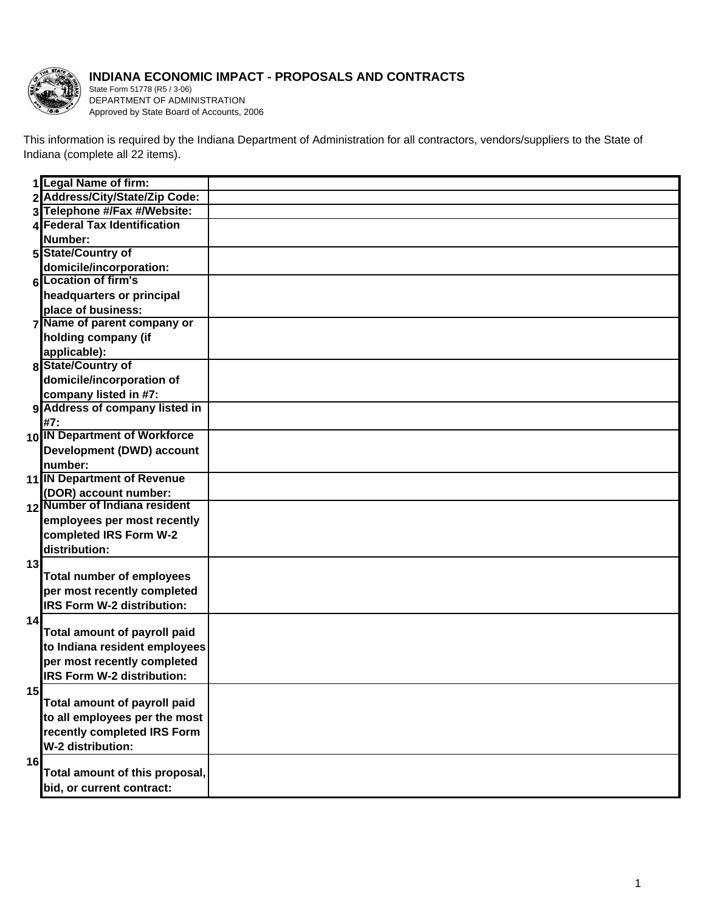

## **INDIANA ECONOMIC IMPACT - PROPOSALS AND CONTRACTS**

State Form 51778 (R5 / 3-06) DEPARTMENT OF ADMINISTRATION Approved by State Board of Accounts, 2006

This information is required by the Indiana Department of Administration for all contractors, vendors/suppliers to the State of Indiana (complete all 22 items).

|    | 1 Legal Name of firm:               |  |
|----|-------------------------------------|--|
|    | 2 Address/City/State/Zip Code:      |  |
|    | 3 Telephone #/Fax #/Website:        |  |
|    | 4 Federal Tax Identification        |  |
|    | Number:                             |  |
|    | 5 State/Country of                  |  |
|    | domicile/incorporation:             |  |
|    | 6 Location of firm's                |  |
|    | headquarters or principal           |  |
|    | place of business:                  |  |
|    | 7 Name of parent company or         |  |
|    | holding company (if                 |  |
|    | applicable):                        |  |
|    | 8 State/Country of                  |  |
|    | domicile/incorporation of           |  |
|    | company listed in #7:               |  |
|    | 9 Address of company listed in      |  |
|    | #7:                                 |  |
|    | 10 IN Department of Workforce       |  |
|    | Development (DWD) account           |  |
|    | number:                             |  |
|    | 11 IN Department of Revenue         |  |
|    | (DOR) account number:               |  |
|    | 12 Number of Indiana resident       |  |
|    | employees per most recently         |  |
|    | completed IRS Form W-2              |  |
|    | distribution:                       |  |
| 13 | <b>Total number of employees</b>    |  |
|    | per most recently completed         |  |
|    | <b>IRS Form W-2 distribution:</b>   |  |
| 14 |                                     |  |
|    | <b>Total amount of payroll paid</b> |  |
|    | to Indiana resident employees       |  |
|    | per most recently completed         |  |
|    | <b>IRS Form W-2 distribution:</b>   |  |
| 15 |                                     |  |
|    | Total amount of payroll paid        |  |
|    | to all employees per the most       |  |
|    | recently completed IRS Form         |  |
|    | W-2 distribution:                   |  |
| 16 |                                     |  |
|    | Total amount of this proposal,      |  |
|    | bid, or current contract:           |  |